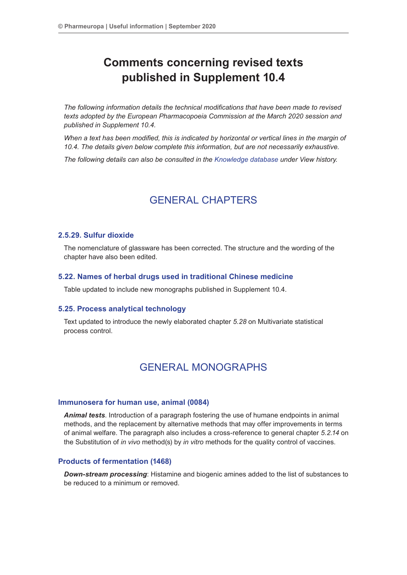# **Comments concerning revised texts published in Supplement 10.4**

*The following information details the technical modifications that have been made to revised texts adopted by the European Pharmacopoeia Commission at the March 2020 session and published in Supplement 10.4.*

*When a text has been modified, this is indicated by horizontal or vertical lines in the margin of 10.4. The details given below complete this information, but are not necessarily exhaustive.*

*The following details can also be consulted in the Knowledge database under View history.*

## GENERAL CHAPTERS

## **2.5.29. Sulfur dioxide**

The nomenclature of glassware has been corrected. The structure and the wording of the chapter have also been edited.

## **5.22. Names of herbal drugs used in traditional Chinese medicine**

Table updated to include new monographs published in Supplement 10.4.

#### **5.25. Process analytical technology**

Text updated to introduce the newly elaborated chapter *5.28* on Multivariate statistical process control.

## GENERAL MONOGRAPHS

#### **Immunosera for human use, animal (0084)**

*Animal tests*. Introduction of a paragraph fostering the use of humane endpoints in animal methods, and the replacement by alternative methods that may offer improvements in terms of animal welfare. The paragraph also includes a cross-reference to general chapter *5.2.14* on the Substitution of *in vivo* method(s) by *in vitro* methods for the quality control of vaccines.

## **Products of fermentation (1468)**

*Down-stream processing*: Histamine and biogenic amines added to the list of substances to be reduced to a minimum or removed.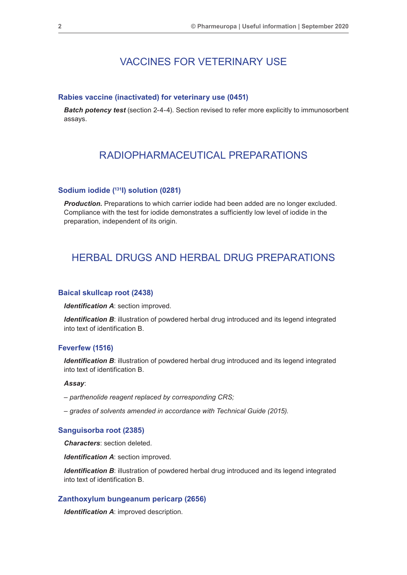## VACCINES FOR VETERINARY USE

#### **Rabies vaccine (inactivated) for veterinary use (0451)**

*Batch potency test* (section 2-4-4). Section revised to refer more explicitly to immunosorbent assays.

## RADIOPHARMACEUTICAL PREPARATIONS

## **Sodium iodide (131I) solution (0281)**

*Production.* Preparations to which carrier iodide had been added are no longer excluded. Compliance with the test for iodide demonstrates a sufficiently low level of iodide in the preparation, independent of its origin.

## HERBAL DRUGS AND HERBAL DRUG PREPARATIONS

#### **Baical skullcap root (2438)**

*Identification A*: section improved.

**Identification B:** illustration of powdered herbal drug introduced and its legend integrated into text of identification B.

#### **Feverfew (1516)**

*Identification B*: illustration of powdered herbal drug introduced and its legend integrated into text of identification B.

## *Assay*:

- *parthenolide reagent replaced by corresponding CRS;*
- *grades of solvents amended in accordance with Technical Guide (2015).*

#### **Sanguisorba root (2385)**

*Characters*: section deleted.

*Identification A*: section improved.

**Identification B:** illustration of powdered herbal drug introduced and its legend integrated into text of identification B.

## **Zanthoxylum bungeanum pericarp (2656)**

*Identification A*: improved description.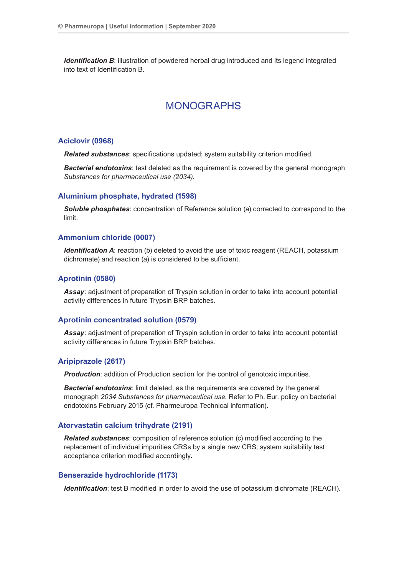*Identification B*: illustration of powdered herbal drug introduced and its legend integrated into text of Identification B.

## MONOGRAPHS

#### **Aciclovir (0968)**

*Related substances*: specifications updated; system suitability criterion modified.

*Bacterial endotoxins*: test deleted as the requirement is covered by the general monograph *Substances for pharmaceutical use (2034)*.

#### **Aluminium phosphate, hydrated (1598)**

*Soluble phosphates*: concentration of Reference solution (a) corrected to correspond to the limit.

#### **Ammonium chloride (0007)**

*Identification A:* reaction (b) deleted to avoid the use of toxic reagent (REACH, potassium dichromate) and reaction (a) is considered to be sufficient.

#### **Aprotinin (0580)**

*Assay*: adjustment of preparation of Tryspin solution in order to take into account potential activity differences in future Trypsin BRP batches.

#### **Aprotinin concentrated solution (0579)**

*Assay*: adjustment of preparation of Tryspin solution in order to take into account potential activity differences in future Trypsin BRP batches.

#### **Aripiprazole (2617)**

**Production:** addition of Production section for the control of genotoxic impurities.

*Bacterial endotoxins*: limit deleted, as the requirements are covered by the general monograph *2034 Substances for pharmaceutical use*. Refer to Ph. Eur. policy on bacterial endotoxins February 2015 (cf. Pharmeuropa Technical information).

#### **Atorvastatin calcium trihydrate (2191)**

*Related substances*: composition of reference solution (c) modified according to the replacement of individual impurities CRSs by a single new CRS; system suitability test acceptance criterion modified accordingly*.*

## **Benserazide hydrochloride (1173)**

*Identification*: test B modified in order to avoid the use of potassium dichromate (REACH).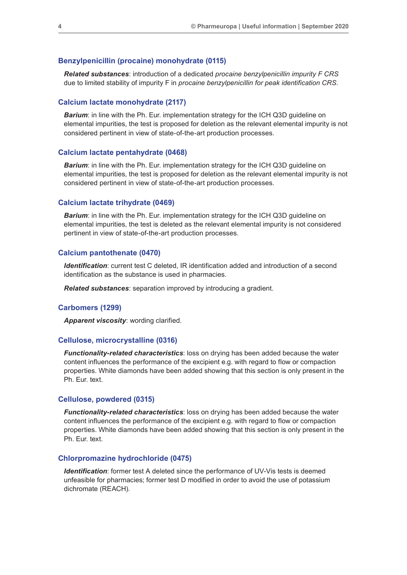## **Benzylpenicillin (procaine) monohydrate (0115)**

*Related substances*: introduction of a dedicated *procaine benzylpenicillin impurity F CRS* due to limited stability of impurity F in *procaine benzylpenicillin for peak identification CRS*.

## **Calcium lactate monohydrate (2117)**

**Barium:** in line with the Ph. Eur. implementation strategy for the ICH Q3D guideline on elemental impurities, the test is proposed for deletion as the relevant elemental impurity is not considered pertinent in view of state-of-the-art production processes.

#### **Calcium lactate pentahydrate (0468)**

**Barium:** in line with the Ph. Eur. implementation strategy for the ICH Q3D guideline on elemental impurities, the test is proposed for deletion as the relevant elemental impurity is not considered pertinent in view of state-of-the-art production processes.

#### **Calcium lactate trihydrate (0469)**

**Barium:** in line with the Ph. Eur. implementation strategy for the ICH Q3D guideline on elemental impurities, the test is deleted as the relevant elemental impurity is not considered pertinent in view of state-of-the-art production processes.

#### **Calcium pantothenate (0470)**

*Identification*: current test C deleted, IR identification added and introduction of a second identification as the substance is used in pharmacies.

*Related substances*: separation improved by introducing a gradient.

#### **Carbomers (1299)**

*Apparent viscosity*: wording clarified.

## **Cellulose, microcrystalline (0316)**

*Functionality-related characteristics*: loss on drying has been added because the water content influences the performance of the excipient e.g. with regard to flow or compaction properties. White diamonds have been added showing that this section is only present in the Ph. Eur. text.

#### **Cellulose, powdered (0315)**

*Functionality-related characteristics*: loss on drying has been added because the water content influences the performance of the excipient e.g. with regard to flow or compaction properties. White diamonds have been added showing that this section is only present in the Ph. Eur. text.

#### **Chlorpromazine hydrochloride (0475)**

*Identification:* former test A deleted since the performance of UV-Vis tests is deemed unfeasible for pharmacies; former test D modified in order to avoid the use of potassium dichromate (REACH).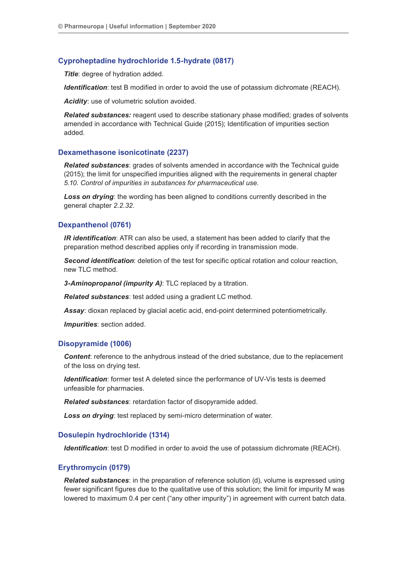## **Cyproheptadine hydrochloride 1.5-hydrate (0817)**

**Title:** degree of hydration added.

*Identification*: test B modified in order to avoid the use of potassium dichromate (REACH).

*Acidity*: use of volumetric solution avoided.

*Related substances:* reagent used to describe stationary phase modified; grades of solvents amended in accordance with Technical Guide (2015); Identification of impurities section added.

## **Dexamethasone isonicotinate (2237)**

*Related substances*: grades of solvents amended in accordance with the Technical guide (2015); the limit for unspecified impurities aligned with the requirements in general chapter *5.10. Control of impurities in substances for pharmaceutical use.*

**Loss on drying**: the wording has been aligned to conditions currently described in the general chapter *2.2.32*.

## **Dexpanthenol (0761)**

*IR identification*: ATR can also be used, a statement has been added to clarify that the preparation method described applies only if recording in transmission mode.

*Second identification*: deletion of the test for specific optical rotation and colour reaction, new TLC method.

*3-Aminopropanol (impurity A)*: TLC replaced by a titration.

*Related substances*: test added using a gradient LC method.

*Assay*: dioxan replaced by glacial acetic acid, end-point determined potentiometrically.

*Impurities*: section added.

## **Disopyramide (1006)**

*Content*: reference to the anhydrous instead of the dried substance, due to the replacement of the loss on drying test.

**Identification**: former test A deleted since the performance of UV-Vis tests is deemed unfeasible for pharmacies.

*Related substances*: retardation factor of disopyramide added.

**Loss on drying:** test replaced by semi-micro determination of water.

## **Dosulepin hydrochloride (1314)**

*Identification*: test D modified in order to avoid the use of potassium dichromate (REACH).

## **Erythromycin (0179)**

*Related substances*: in the preparation of reference solution (d), volume is expressed using fewer significant figures due to the qualitative use of this solution; the limit for impurity M was lowered to maximum 0.4 per cent ("any other impurity") in agreement with current batch data.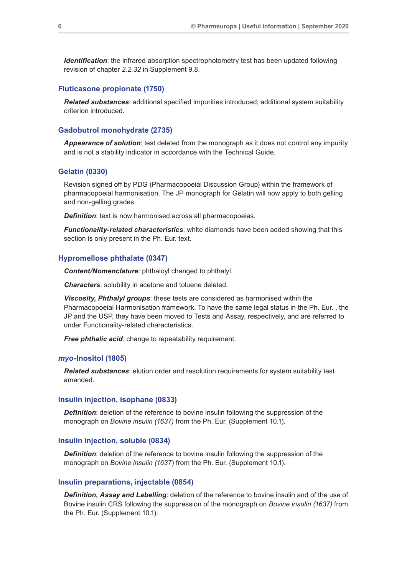*Identification*: the infrared absorption spectrophotometry test has been updated following revision of chapter *2.2.32* in Supplement 9.8.

#### **Fluticasone propionate (1750)**

*Related substances*: additional specified impurities introduced; additional system suitability criterion introduced.

## **Gadobutrol monohydrate (2735)**

*Appearance of solution*: test deleted from the monograph as it does not control any impurity and is not a stability indicator in accordance with the Technical Guide.

#### **Gelatin (0330)**

Revision signed off by PDG (Pharmacopoeial Discussion Group) within the framework of pharmacopoeial harmonisation. The JP monograph for Gelatin will now apply to both gelling and non-gelling grades.

*Definition*: text is now harmonised across all pharmacopoeias.

*Functionality-related characteristics*: white diamonds have been added showing that this section is only present in the Ph. Eur. text.

#### **Hypromellose phthalate (0347)**

*Content/Nomenclature*: phthaloyl changed to phthalyl.

*Characters*: solubility in acetone and toluene deleted.

*Viscosity, Phthalyl groups*: these tests are considered as harmonised within the Pharmacopoeial Harmonisation framework. To have the same legal status in the Ph. Eur. , the JP and the USP, they have been moved to Tests and Assay, respectively, and are referred to under Functionality-related characteristics.

*Free phthalic acid:* change to repeatability requirement.

#### *myo***-Inositol (1805)**

*Related substances*: elution order and resolution requirements for system suitability test amended.

#### **Insulin injection, isophane (0833)**

*Definition:* deletion of the reference to bovine insulin following the suppression of the monograph on *Bovine insulin (1637)* from the Ph. Eur. (Supplement 10.1).

#### **Insulin injection, soluble (0834)**

*Definition:* deletion of the reference to bovine insulin following the suppression of the monograph on *Bovine insulin (1637*) from the Ph. Eur. (Supplement 10.1).

#### **Insulin preparations, injectable (0854)**

*Definition, Assay and Labelling*: deletion of the reference to bovine insulin and of the use of Bovine insulin CRS following the suppression of the monograph on *Bovine insulin (1637)* from the Ph. Eur. (Supplement 10.1).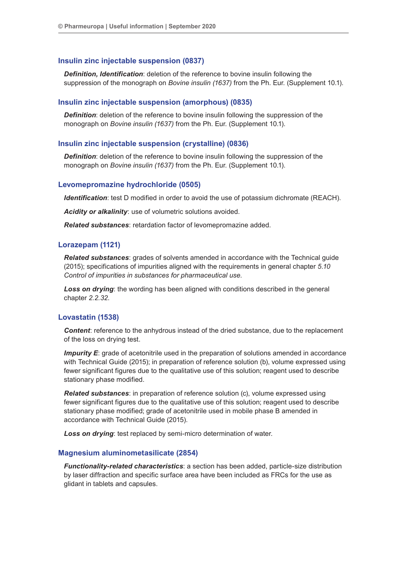### **Insulin zinc injectable suspension (0837)**

*Definition, Identification*: deletion of the reference to bovine insulin following the suppression of the monograph on *Bovine insulin (1637)* from the Ph. Eur. (Supplement 10.1).

## **Insulin zinc injectable suspension (amorphous) (0835)**

*Definition*: deletion of the reference to bovine insulin following the suppression of the monograph on *Bovine insulin (1637)* from the Ph. Eur. (Supplement 10.1).

## **Insulin zinc injectable suspension (crystalline) (0836)**

*Definition:* deletion of the reference to bovine insulin following the suppression of the monograph on *Bovine insulin (1637)* from the Ph. Eur. (Supplement 10.1).

## **Levomepromazine hydrochloride (0505)**

*Identification*: test D modified in order to avoid the use of potassium dichromate (REACH).

*Acidity or alkalinity*: use of volumetric solutions avoided.

*Related substances*: retardation factor of levomepromazine added.

#### **Lorazepam (1121)**

*Related substances*: grades of solvents amended in accordance with the Technical guide (2015); specifications of impurities aligned with the requirements in general chapter *5.10 Control of impurities in substances for pharmaceutical use*.

**Loss on drying**: the wording has been aligned with conditions described in the general chapter *2.2.32*.

#### **Lovastatin (1538)**

*Content*: reference to the anhydrous instead of the dried substance, due to the replacement of the loss on drying test.

**Impurity E**: grade of acetonitrile used in the preparation of solutions amended in accordance with Technical Guide (2015); in preparation of reference solution (b), volume expressed using fewer significant figures due to the qualitative use of this solution; reagent used to describe stationary phase modified.

*Related substances*: in preparation of reference solution (c), volume expressed using fewer significant figures due to the qualitative use of this solution; reagent used to describe stationary phase modified; grade of acetonitrile used in mobile phase B amended in accordance with Technical Guide (2015).

*Loss on drying*: test replaced by semi-micro determination of water.

#### **Magnesium aluminometasilicate (2854)**

*Functionality-related characteristics*: a section has been added, particle-size distribution by laser diffraction and specific surface area have been included as FRCs for the use as glidant in tablets and capsules.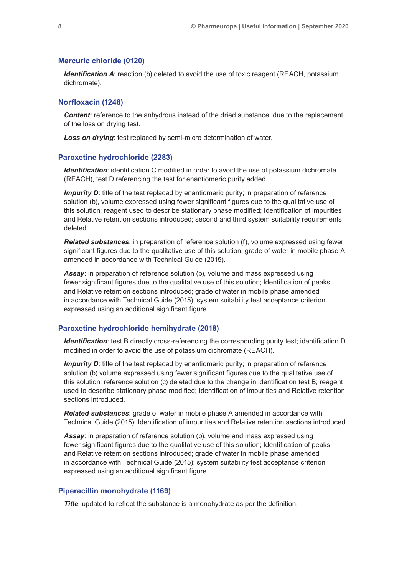#### **Mercuric chloride (0120)**

*Identification A:* reaction (b) deleted to avoid the use of toxic reagent (REACH, potassium dichromate).

## **Norfloxacin (1248)**

*Content*: reference to the anhydrous instead of the dried substance, due to the replacement of the loss on drying test.

*Loss on drying*: test replaced by semi-micro determination of water.

#### **Paroxetine hydrochloride (2283)**

*Identification*: identification C modified in order to avoid the use of potassium dichromate (REACH), test D referencing the test for enantiomeric purity added.

*Impurity D*: title of the test replaced by enantiomeric purity; in preparation of reference solution (b), volume expressed using fewer significant figures due to the qualitative use of this solution; reagent used to describe stationary phase modified; Identification of impurities and Relative retention sections introduced; second and third system suitability requirements deleted.

*Related substances*: in preparation of reference solution (f), volume expressed using fewer significant figures due to the qualitative use of this solution; grade of water in mobile phase A amended in accordance with Technical Guide (2015).

*Assay*: in preparation of reference solution (b), volume and mass expressed using fewer significant figures due to the qualitative use of this solution; Identification of peaks and Relative retention sections introduced; grade of water in mobile phase amended in accordance with Technical Guide (2015); system suitability test acceptance criterion expressed using an additional significant figure.

#### **Paroxetine hydrochloride hemihydrate (2018)**

*Identification*: test B directly cross-referencing the corresponding purity test; identification D modified in order to avoid the use of potassium dichromate (REACH).

*Impurity D*: title of the test replaced by enantiomeric purity; in preparation of reference solution (b) volume expressed using fewer significant figures due to the qualitative use of this solution; reference solution (c) deleted due to the change in identification test B; reagent used to describe stationary phase modified; Identification of impurities and Relative retention sections introduced.

*Related substances*: grade of water in mobile phase A amended in accordance with Technical Guide (2015); Identification of impurities and Relative retention sections introduced.

*Assay*: in preparation of reference solution (b), volume and mass expressed using fewer significant figures due to the qualitative use of this solution; Identification of peaks and Relative retention sections introduced; grade of water in mobile phase amended in accordance with Technical Guide (2015); system suitability test acceptance criterion expressed using an additional significant figure.

#### **Piperacillin monohydrate (1169)**

**Title**: updated to reflect the substance is a monohydrate as per the definition.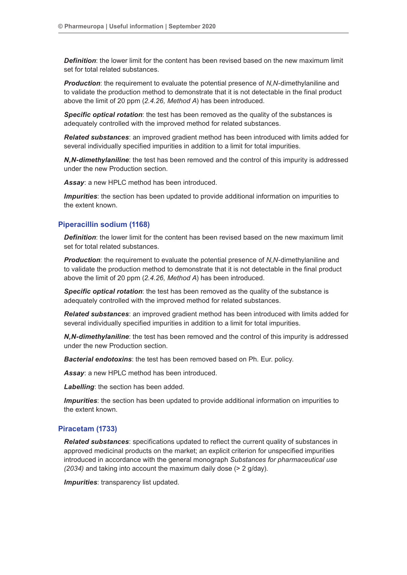**Definition**: the lower limit for the content has been revised based on the new maximum limit set for total related substances.

*Production*: the requirement to evaluate the potential presence of *N*,*N*-dimethylaniline and to validate the production method to demonstrate that it is not detectable in the final product above the limit of 20 ppm (*2.4.26, Method A*) has been introduced.

*Specific optical rotation*: the test has been removed as the quality of the substances is adequately controlled with the improved method for related substances.

*Related substances*: an improved gradient method has been introduced with limits added for several individually specified impurities in addition to a limit for total impurities.

*N,N-dimethylaniline*: the test has been removed and the control of this impurity is addressed under the new Production section.

*Assay*: a new HPLC method has been introduced.

*Impurities*: the section has been updated to provide additional information on impurities to the extent known.

## **Piperacillin sodium (1168)**

*Definition*: the lower limit for the content has been revised based on the new maximum limit set for total related substances.

*Production*: the requirement to evaluate the potential presence of *N*,*N*-dimethylaniline and to validate the production method to demonstrate that it is not detectable in the final product above the limit of 20 ppm (*2.4.26, Method A*) has been introduced.

**Specific optical rotation**: the test has been removed as the quality of the substance is adequately controlled with the improved method for related substances.

*Related substances:* an improved gradient method has been introduced with limits added for several individually specified impurities in addition to a limit for total impurities.

*N,N-dimethylaniline*: the test has been removed and the control of this impurity is addressed under the new Production section.

*Bacterial endotoxins*: the test has been removed based on Ph. Eur. policy.

*Assay*: a new HPLC method has been introduced.

*Labelling*: the section has been added.

*Impurities*: the section has been updated to provide additional information on impurities to the extent known.

## **Piracetam (1733)**

*Related substances*: specifications updated to reflect the current quality of substances in approved medicinal products on the market; an explicit criterion for unspecified impurities introduced in accordance with the general monograph *Substances for pharmaceutical use (2034)* and taking into account the maximum daily dose (> 2 g/day).

*Impurities:* transparency list updated.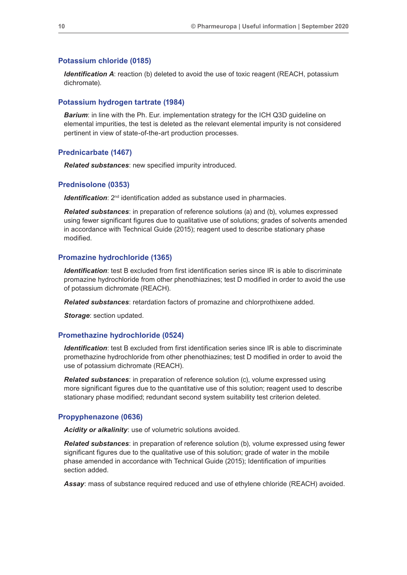#### **Potassium chloride (0185)**

*Identification A*: reaction (b) deleted to avoid the use of toxic reagent (REACH, potassium dichromate).

## **Potassium hydrogen tartrate (1984)**

**Barium:** in line with the Ph. Eur. implementation strategy for the ICH Q3D guideline on elemental impurities, the test is deleted as the relevant elemental impurity is not considered pertinent in view of state-of-the-art production processes.

### **Prednicarbate (1467)**

*Related substances*: new specified impurity introduced.

#### **Prednisolone (0353)**

*Identification*: 2<sup>nd</sup> identification added as substance used in pharmacies.

*Related substances*: in preparation of reference solutions (a) and (b), volumes expressed using fewer significant figures due to qualitative use of solutions; grades of solvents amended in accordance with Technical Guide (2015); reagent used to describe stationary phase modified.

## **Promazine hydrochloride (1365)**

*Identification*: test B excluded from first identification series since IR is able to discriminate promazine hydrochloride from other phenothiazines; test D modified in order to avoid the use of potassium dichromate (REACH).

*Related substances*: retardation factors of promazine and chlorprothixene added.

*Storage*: section updated.

#### **Promethazine hydrochloride (0524)**

*Identification*: test B excluded from first identification series since IR is able to discriminate promethazine hydrochloride from other phenothiazines; test D modified in order to avoid the use of potassium dichromate (REACH).

*Related substances*: in preparation of reference solution (c), volume expressed using more significant figures due to the quantitative use of this solution; reagent used to describe stationary phase modified; redundant second system suitability test criterion deleted.

## **Propyphenazone (0636)**

*Acidity or alkalinity*: use of volumetric solutions avoided.

*Related substances*: in preparation of reference solution (b), volume expressed using fewer significant figures due to the qualitative use of this solution; grade of water in the mobile phase amended in accordance with Technical Guide (2015); Identification of impurities section added.

*Assay*: mass of substance required reduced and use of ethylene chloride (REACH) avoided.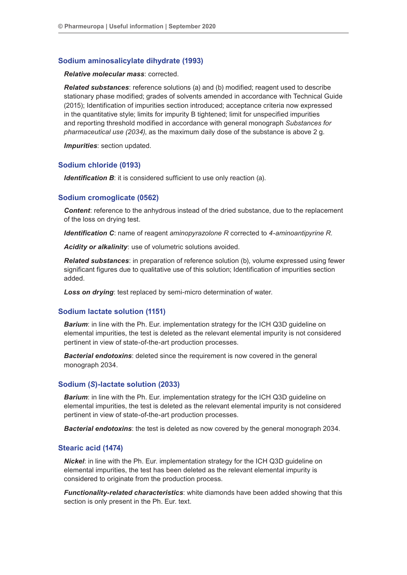## **Sodium aminosalicylate dihydrate (1993)**

#### *Relative molecular mass*: corrected.

*Related substances*: reference solutions (a) and (b) modified; reagent used to describe stationary phase modified; grades of solvents amended in accordance with Technical Guide (2015); Identification of impurities section introduced; acceptance criteria now expressed in the quantitative style; limits for impurity B tightened; limit for unspecified impurities and reporting threshold modified in accordance with general monograph *Substances for pharmaceutical use (2034)*, as the maximum daily dose of the substance is above 2 g.

*Impurities*: section updated.

#### **Sodium chloride (0193)**

*Identification B*: it is considered sufficient to use only reaction (a).

#### **Sodium cromoglicate (0562)**

*Content*: reference to the anhydrous instead of the dried substance, due to the replacement of the loss on drying test.

*Identification C*: name of reagent *aminopyrazolone R* corrected to *4-aminoantipyrine R*.

*Acidity or alkalinity*: use of volumetric solutions avoided.

*Related substances*: in preparation of reference solution (b), volume expressed using fewer significant figures due to qualitative use of this solution; Identification of impurities section added.

*Loss on drying*: test replaced by semi-micro determination of water.

#### **Sodium lactate solution (1151)**

**Barium:** in line with the Ph. Eur. implementation strategy for the ICH Q3D guideline on elemental impurities, the test is deleted as the relevant elemental impurity is not considered pertinent in view of state-of-the-art production processes.

*Bacterial endotoxins*: deleted since the requirement is now covered in the general monograph 2034.

#### **Sodium (***S***)-lactate solution (2033)**

**Barium:** in line with the Ph. Eur. implementation strategy for the ICH Q3D guideline on elemental impurities, the test is deleted as the relevant elemental impurity is not considered pertinent in view of state-of-the-art production processes.

*Bacterial endotoxins*: the test is deleted as now covered by the general monograph 2034.

## **Stearic acid (1474)**

*Nickel*: in line with the Ph. Eur. implementation strategy for the ICH Q3D guideline on elemental impurities, the test has been deleted as the relevant elemental impurity is considered to originate from the production process.

*Functionality-related characteristics*: white diamonds have been added showing that this section is only present in the Ph. Eur. text.